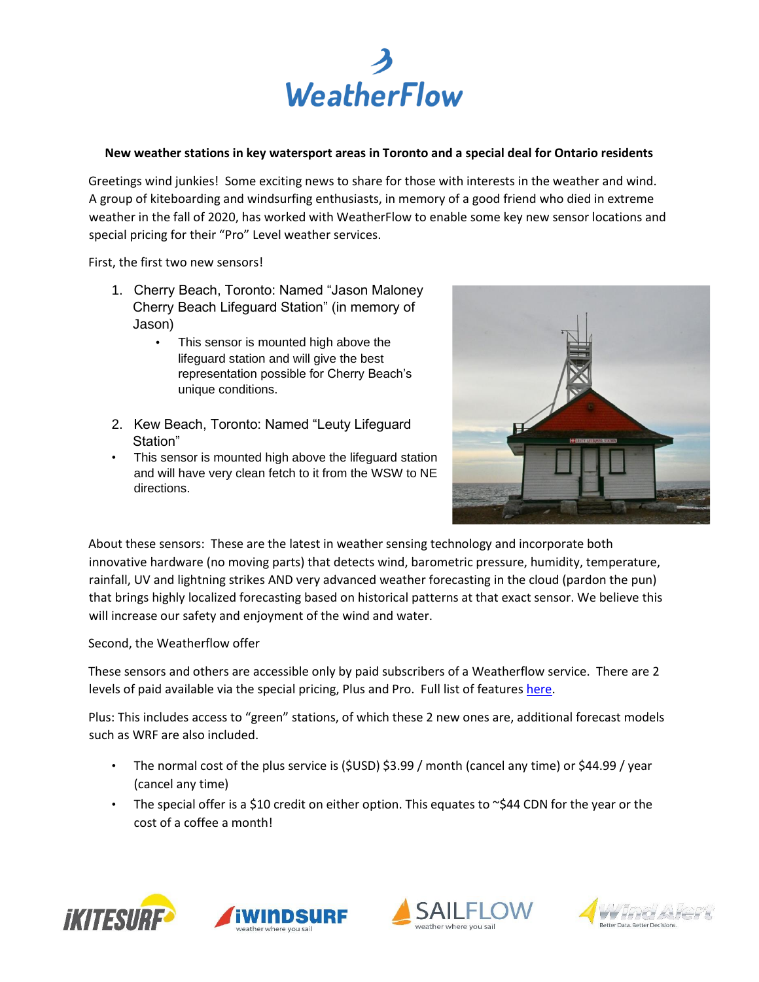

## **New weather stations in key watersport areas in Toronto and a special deal for Ontario residents**

Greetings wind junkies! Some exciting news to share for those with interests in the weather and wind. A group of kiteboarding and windsurfing enthusiasts, in memory of a good friend who died in extreme weather in the fall of 2020, has worked with WeatherFlow to enable some key new sensor locations and special pricing for their "Pro" Level weather services.

First, the first two new sensors!

- 1. Cherry Beach, Toronto: Named "Jason Maloney Cherry Beach Lifeguard Station" (in memory of Jason)
	- This sensor is mounted high above the lifeguard station and will give the best representation possible for Cherry Beach's unique conditions.
- 2. Kew Beach, Toronto: Named "Leuty Lifeguard Station"
- This sensor is mounted high above the lifeguard station and will have very clean fetch to it from the WSW to NE directions.



About these sensors: These are the latest in weather sensing technology and incorporate both innovative hardware (no moving parts) that detects wind, barometric pressure, humidity, temperature, rainfall, UV and lightning strikes AND very advanced weather forecasting in the cloud (pardon the pun) that brings highly localized forecasting based on historical patterns at that exact sensor. We believe this will increase our safety and enjoyment of the wind and water.

Second, the Weatherflow offer

These sensors and others are accessible only by paid subscribers of a Weatherflow service. There are 2 levels of paid available via the special pricing, Plus and Pro. Full list of features here.

Plus: This includes access to "green" stations, of which these 2 new ones are, additional forecast models such as WRF are also included.

- The normal cost of the plus service is (\$USD) \$3.99 / month (cancel any time) or \$44.99 / year (cancel any time)
- The special offer is a \$10 credit on either option. This equates to  $\sim$ \$44 CDN for the year or the cost of a coffee a month!







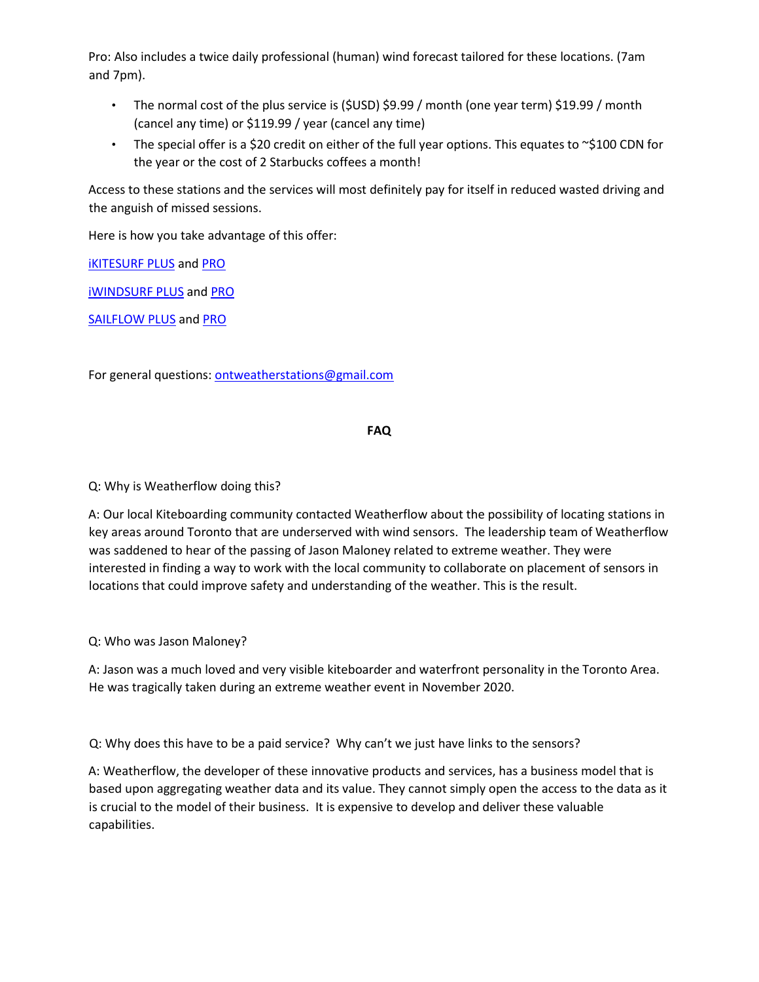Pro: Also includes a twice daily professional (human) wind forecast tailored for these locations. (7am and 7pm).

- The normal cost of the plus service is (\$USD) \$9.99 / month (one year term) \$19.99 / month (cancel any time) or \$119.99 / year (cancel any time)
- The special offer is a \$20 credit on either of the full year options. This equates to  $\sim$ \$100 CDN for the year or the cost of 2 Starbucks coffees a month!

Access to these stations and the services will most definitely pay for itself in reduced wasted driving and the anguish of missed sessions.

Here is how you take advantage of this offer:

[iKITESURF PLUS](https://secure.ikitesurf.com/signup?level=PLUS&plan=Annual_Plan&referrerID=625377) [a](https://secure.ikitesurf.com/signup?level=PLUS&plan=Annual_Plan&referrerID=625377)nd [PRO](https://secure.ikitesurf.com/signup?level=PRO&plan=Annual_Plan&referrerID=625377)

**[iWINDSURF PLUS](https://secure.iwindsurf.com/signup?level=PLUS&plan=Annual_Plan&referrerID=625377) and [PRO](https://secure.iwindsurf.com/signup?level=PRO&plan=Annual_Plan&referrerID=625377)** 

[SAILFLOW PLUS](https://secure.sailflow.com/signup.iws?level=PLUS&plan=Annual_Plan&referrerID=625377) an[d PRO](https://secure.sailflow.com/signup.iws?level=PRO&plan=Annual_Plan&referrerID=625377)

For general questions: ontweatherstations@gmail.com

## **FAQ**

Q: Why is Weatherflow doing this?

A: Our local Kiteboarding community contacted Weatherflow about the possibility of locating stations in key areas around Toronto that are underserved with wind sensors. The leadership team of Weatherflow was saddened to hear of the passing of Jason Maloney related to extreme weather. They were interested in finding a way to work with the local community to collaborate on placement of sensors in locations that could improve safety and understanding of the weather. This is the result.

Q: Who was Jason Maloney?

A: Jason was a much loved and very visible kiteboarder and waterfront personality in the Toronto Area. He was tragically taken during an extreme weather event in November 2020.

Q: Why does this have to be a paid service? Why can't we just have links to the sensors?

A: Weatherflow, the developer of these innovative products and services, has a business model that is based upon aggregating weather data and its value. They cannot simply open the access to the data as it is crucial to the model of their business. It is expensive to develop and deliver these valuable capabilities.